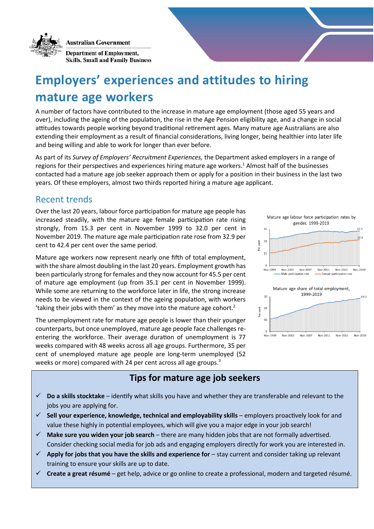**Australian Government** 



**Department of Employment, Skills, Small and Family Business** 

# **Employers' experiences and attitudes to hiring mature age workers**

A number of factors have contributed to the increase in mature age employment (those aged 55 years and over), including the ageing of the population, the rise in the Age Pension eligibility age, and a change in social attitudes towards people working beyond traditional retirement ages. Many mature age Australians are also extending their employment as a result of financial considerations, living longer, being healthier into later life and being willing and able to work for longer than ever before.

As part of its *Survey of Employers' Recruitment Experiences,* the Department asked employers in a range of regions for their perspectives and experiences hiring mature age workers. <sup>1</sup> Almost half of the businesses contacted had a mature age job seeker approach them or apply for a position in their business in the last two years. Of these employers, almost two thirds reported hiring a mature age applicant.

### Recent trends

Over the last 20 years, labour force participation for mature age people has increased steadily, with the mature age female participation rate rising strongly, from 15.3 per cent in November 1999 to 32.0 per cent in November 2019. The mature age male participation rate rose from 32.9 per cent to 42.4 per cent over the same period.

Mature age workers now represent nearly one fifth of total employment, with the share almost doubling in the last 20 years. Employment growth has been particularly strong for females and they now account for 45.5 per cent of mature age employment (up from 35.1 per cent in November 1999). While some are returning to the workforce later in life, the strong increase needs to be viewed in the context of the ageing population, with workers 'taking their jobs with them' as they move into the mature age cohort.<sup>2</sup>

The unemployment rate for mature age people is lower than their younger counterparts, but once unemployed, mature age people face challenges reentering the workforce. Their average duration of unemployment is 77 weeks compared with 48 weeks across all age groups. Furthermore, 35 per cent of unemployed mature age people are long-term unemployed (52 weeks or more) compared with 24 per cent across all age groups.<sup>3</sup>

#### $45$  $32.0$  $3<sup>1</sup>$  $\overline{\rm c}$ èï  $15$ Nov-1999 Nov-2003 Nov-2007 Nov-2011 Nov-2015 Male narticination rate Female n rticination rat Mature age share of total employment, 1999-2019  $\overline{2}$  $15$  $\tilde{\mathbf{g}}$ Par.  $10$ Nov-2003 Nov-2007 Nov-2011 Nov-2015 Nov-2019 Nov-1999

Mature age labour force participation rates by gender, 1999-2019

 $42.4$ 

# **Tips for mature age job seekers**

- **Do a skills stocktake** identify what skills you have and whether they are transferable and relevant to the jobs you are applying for.
- **Sell your experience, knowledge, technical and employability skills**  employers proactively look for and value these highly in potential employees, which will give you a major edge in your job search!
- **Make sure you widen your job search**  there are many hidden jobs that are not formally advertised. Consider checking social media for job ads and engaging employers directly for work you are interested in.
- **Apply for jobs that you have the skills and experience for** stay current and consider taking up relevant training to ensure your skills are up to date.
- **Create a great résumé** get help, advice or go online to create a professional, modern and targeted résumé.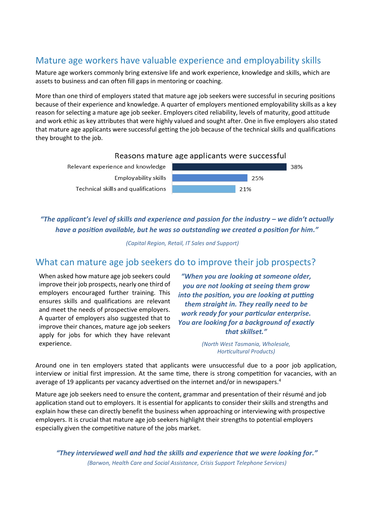## Mature age workers have valuable experience and employability skills

Mature age workers commonly bring extensive life and work experience, knowledge and skills, which are assets to business and can often fill gaps in mentoring or coaching.

More than one third of employers stated that mature age job seekers were successful in securing positions because of their experience and knowledge. A quarter of employers mentioned employability skills as a key reason for selecting a mature age job seeker. Employers cited reliability, levels of maturity, good attitude and work ethic as key attributes that were highly valued and sought after. One in five employers also stated that mature age applicants were successful getting the job because of the technical skills and qualifications they brought to the job.



*"The applicant's level of skills and experience and passion for the industry – we didn't actually have a position available, but he was so outstanding we created a position for him."*

*(Capital Region, Retail, IT Sales and Support)*

#### What can mature age job seekers do to improve their job prospects?

When asked how mature age job seekers could improve their job prospects, nearly one third of employers encouraged further training. This ensures skills and qualifications are relevant and meet the needs of prospective employers. A quarter of employers also suggested that to improve their chances, mature age job seekers apply for jobs for which they have relevant experience.

*"When you are looking at someone older, you are not looking at seeing them grow into the position, you are looking at putting them straight in. They really need to be work ready for your particular enterprise. You are looking for a background of exactly that skillset."*

> *(North West Tasmania, Wholesale, Horticultural Products)*

Around one in ten employers stated that applicants were unsuccessful due to a poor job application, interview or initial first impression. At the same time, there is strong competition for vacancies, with an average of 19 applicants per vacancy advertised on the internet and/or in newspapers.<sup>4</sup>

Mature age job seekers need to ensure the content, grammar and presentation of their résumé and job application stand out to employers. It is essential for applicants to consider their skills and strengths and explain how these can directly benefit the business when approaching or interviewing with prospective employers. It is crucial that mature age job seekers highlight their strengths to potential employers especially given the competitive nature of the jobs market.

*"They interviewed well and had the skills and experience that we were looking for." (Barwon, Health Care and Social Assistance, Crisis Support Telephone Services)*